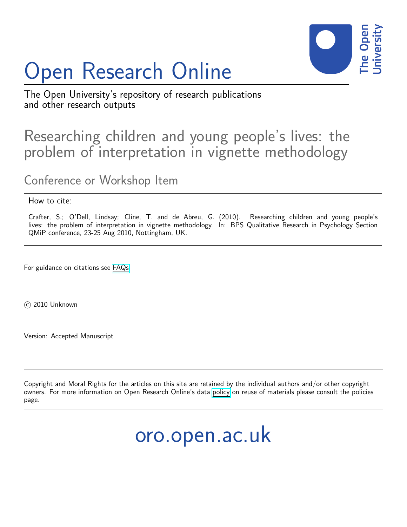# Open Research Online



The Open University's repository of research publications and other research outputs

### Researching children and young people's lives: the problem of interpretation in vignette methodology

Conference or Workshop Item

#### How to cite:

Crafter, S.; O'Dell, Lindsay; Cline, T. and de Abreu, G. (2010). Researching children and young people's lives: the problem of interpretation in vignette methodology. In: BPS Qualitative Research in Psychology Section QMiP conference, 23-25 Aug 2010, Nottingham, UK.

For guidance on citations see [FAQs.](http://oro.open.ac.uk/help/helpfaq.html)

 $(c)$  2010 Unknown

Version: Accepted Manuscript

Copyright and Moral Rights for the articles on this site are retained by the individual authors and/or other copyright owners. For more information on Open Research Online's data [policy](http://oro.open.ac.uk/policies.html) on reuse of materials please consult the policies page.

## oro.open.ac.uk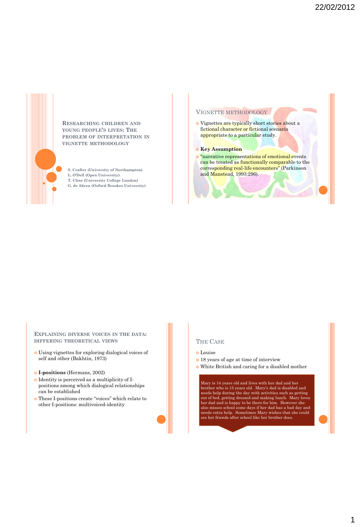

**RESEARCHING CHILDREN AND YOUNG PEOPLE'S LIVES: THE PROBLEM OF INTERPRETATION IN VIGNETTE METHODOLOGY**

**S. Crafter (University of Northampton) L. O'Dell (Open University) T. Cline (University College London) G. de Abreu (Oxford Brookes University)**

#### VIGNETTE METHODOLOGY

 Vignettes are typically short stories about a fictional character or fictional scenario appropriate to a particular study.

#### **o** Key Assumption

 "narrative representations of emotional events can be treated as functionally comparable to the corresponding real-life encounters" (Parkinson and Manstead, 1993:296).

#### **EXPLAINING DIVERSE VOICES IN THE DATA: DIFFERING THEORETICAL VIEWS**

- Using vignettes for exploring dialogical voices of self and other (Bakhtin, 1973)
- **I-positions** (Hermans, 2002)
- Identity is perceived as a multiplicity of Ipositions among which dialogical relationships can be established
- These I-positions create "voices" which relate to other I-positions: multivoiced-identity

#### THE CASE

- o Louise
- 18 years of age at time of interview
	- White British and caring for a disabled mother

Mary is 14 years old and lives with her dad and her brother who is 15 years old. Mary's dad is disabled and needs help during the day with activities such as getting<br>out of bed, getting dressed and making lunch. Mary loves<br>her dad and is happy to be there for him. However she<br>also misses school some days if her dad has a bad day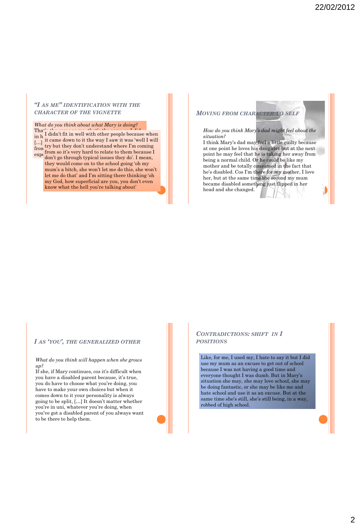#### *"I AS ME" IDENTIFICATION WITH THE CHARACTER OF THE VIGNETTE*

#### *What do you think about what Mary is doing?*

 $\prod_{i=1}^n$  and  $\prod_{i=1}^n$  didn't fit in well with other people because when in  $h<sup>T</sup>$  under the same thing, which schools the same thing,  $h<sup>T</sup>$  $\begin{bmatrix} \ldots \\ \ldots \end{bmatrix}$  it came down to it the way I saw it was 'well I will from  $\frac{dy}{dx}$  but they don't dimensional where I'm com- $\exp\left(\frac{H \cup H}{1 + \epsilon^2} \right)$  and  $\exp\left(\frac{H \cup H}{1 + \epsilon^2} \right)$ try but they don't understand where I'm coming from so it's very hard to relate to them because I don't go through typical issues they do'. I mean, they would come on to the school going 'oh my mum's a bitch, she won't let me do this, she won't let me do that' and I'm sitting there thinking 'oh my God, how superficial are you, you don't even know what the hell you're talking about'

#### *MOVING FROM CHARACTER TO SELF*

*How do you think Mary's dad might feel about the situation?* I think Mary's dad may feel a little guilty because at one point he loves his daughter but at the next point he may feel that he is taking her away from being a normal child. Or he could be like my

mother and be totally consumed in the fact that he's disabled. Cos I'm there for my mother, I love her, but at the same time the second my mum became disabled something just flipped in her head and she changed.

#### *I AS 'YOU', THE GENERALIZED OTHER*

*What do you think will happen when she grows up?*

If she, if Mary continues, cos it's difficult when you have a disabled parent because, it's true, you do have to choose what you're doing, you have to make your own choices but when it comes down to it your personality is always going to be split, […] It doesn't matter whether you're in uni, whatever you're doing, when you've got a disabled parent of you always want to be there to help them.

#### *CONTRADICTIONS: SHIFT IN I POSITIONS*

Like, for me, I used my, I hate to say it but I did use my mum as an excuse to get out of school because I was not having a good time and everyone thought I was dumb. But in Mary's situation she may, she may love school, she may be doing fantastic, or she may be like me and hate school and use it as an excuse. But at the same time she's still, she's still being, in a way, robbed of high school.